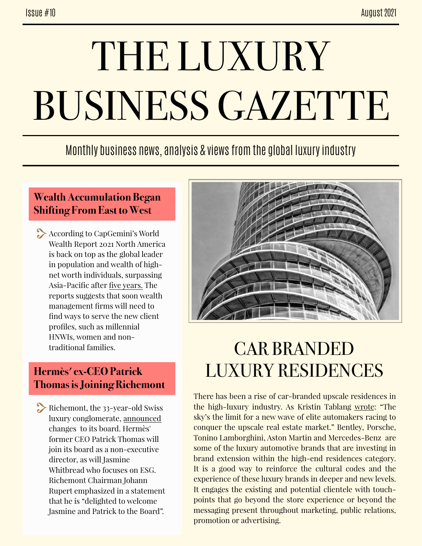# THE LUXURY BUSINESS GAZETTE

### Monthly business news, analysis & views from the global luxury industry

#### **Wealth Accumulation Began Shifting From East to West**

According to CapGemini's World Wealth Report 2021 North America is back on top as the global leader in population and wealth of highnet worth individuals, surpassing Asia-Pacific after [five years.](https://www.thebanker.com/Editor-s-Blog/Wealth-accumulation-shifts-from-East-to-West) The reports suggests that soon wealth management firms will need to find ways to serve the new client profiles, such as millennial HNWIs, women and nontraditional families.

#### **Hermès' ex-CEO Patrick Thomas is Joining Richemont**

Richemont, the 33-year-old Swiss luxury conglomerate, [announced](https://www.thefashionlaw.com/richemont-to-add-former-hermes-ceo-patrick-thomas-to-board-amid-larger-soft-luxury-push/) changes to its board. Hermès' former CEO Patrick Thomas will join its board as a non-executive director, as will Jasmine Whitbread who focuses on ESG. Richemont Chairman Johann Rupert emphasized in a statement that he is "delighted to welcome Jasmine and Patrick to the Board".



## CAR BRANDED LUXURY RESIDENCES

There has been a rise of car-branded upscale residences in the high-luxury industry. As Kristin Tablang [wrote](https://www.housebeautiful.com/lifestyle/a37284494/the-rise-of-car-branded-luxury-residences/): "The sky's the limit for a new wave of elite automakers racing to conquer the upscale real estate market." Bentley, Porsche, Tonino Lamborghini, Aston Martin and Mercedes-Benz are some of the luxury automotive brands that are investing in brand extension within the high-end residences category. It is a good way to reinforce the cultural codes and the experience of these luxury brands in deeper and new levels. It engages the existing and potential clientele with touchpoints that go beyond the store experience or beyond the messaging present throughout marketing, public relations, promotion or advertising.